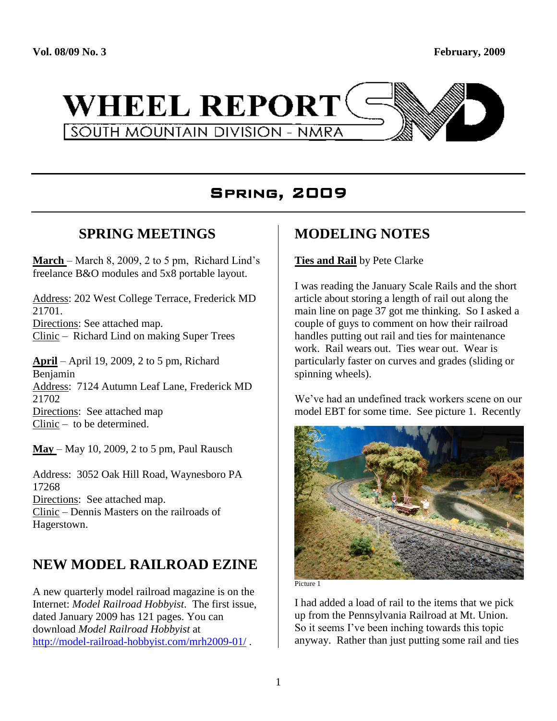

# Spring, 2009

## **SPRING MEETINGS**

**March** – March 8, 2009, 2 to 5 pm, Richard Lind's freelance B&O modules and 5x8 portable layout.

Address: 202 West College Terrace, Frederick MD 21701. Directions: See attached map. Clinic – Richard Lind on making Super Trees

**April** – April 19, 2009, 2 to 5 pm, Richard Benjamin Address: 7124 Autumn Leaf Lane, Frederick MD 21702 Directions: See attached map Clinic – to be determined.

**May** – May 10, 2009, 2 to 5 pm, Paul Rausch

Address: 3052 Oak Hill Road, Waynesboro PA 17268 Directions: See attached map. Clinic – Dennis Masters on the railroads of Hagerstown.

# **NEW MODEL RAILROAD EZINE**

A new quarterly model railroad magazine is on the Internet: *Model Railroad Hobbyist*. The first issue, dated January 2009 has 121 pages. You can download *Model Railroad Hobbyist* at <http://model-railroad-hobbyist.com/mrh2009-01/> .

# **MODELING NOTES**

### **Ties and Rail** by Pete Clarke

I was reading the January Scale Rails and the short article about storing a length of rail out along the main line on page 37 got me thinking. So I asked a couple of guys to comment on how their railroad handles putting out rail and ties for maintenance work. Rail wears out. Ties wear out. Wear is particularly faster on curves and grades (sliding or spinning wheels).

We've had an undefined track workers scene on our model EBT for some time. See picture 1. Recently



Picture 1

I had added a load of rail to the items that we pick up from the Pennsylvania Railroad at Mt. Union. So it seems I've been inching towards this topic anyway. Rather than just putting some rail and ties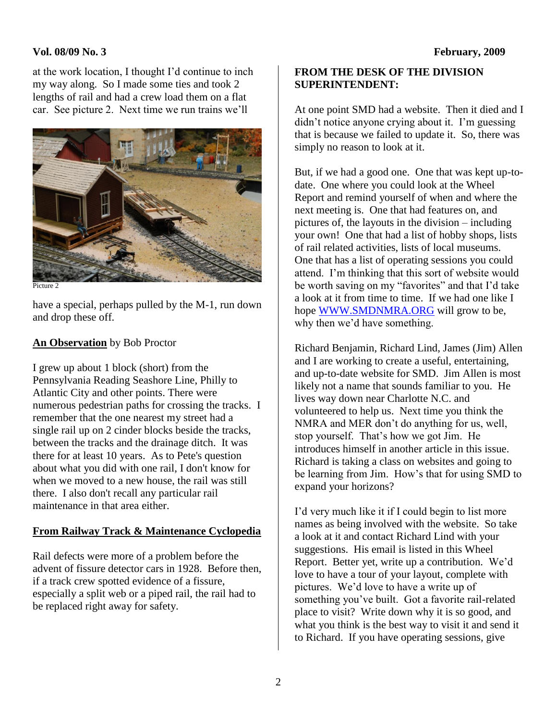### **Vol. 08/09 No. 3 February, 2009**

at the work location, I thought I'd continue to inch my way along. So I made some ties and took 2 lengths of rail and had a crew load them on a flat car. See picture 2. Next time we run trains we'll



Picture 2

have a special, perhaps pulled by the M-1, run down and drop these off.

### **An Observation** by Bob Proctor

I grew up about 1 block (short) from the Pennsylvania Reading Seashore Line, Philly to Atlantic City and other points. There were numerous pedestrian paths for crossing the tracks. I remember that the one nearest my street had a single rail up on 2 cinder blocks beside the tracks, between the tracks and the drainage ditch. It was there for at least 10 years. As to Pete's question about what you did with one rail, I don't know for when we moved to a new house, the rail was still there. I also don't recall any particular rail maintenance in that area either.

### **From Railway Track & Maintenance Cyclopedia**

Rail defects were more of a problem before the advent of fissure detector cars in 1928. Before then, if a track crew spotted evidence of a fissure, especially a split web or a piped rail, the rail had to be replaced right away for safety.

### **FROM THE DESK OF THE DIVISION SUPERINTENDENT:**

At one point SMD had a website. Then it died and I didn't notice anyone crying about it. I'm guessing that is because we failed to update it. So, there was simply no reason to look at it.

But, if we had a good one. One that was kept up-todate. One where you could look at the Wheel Report and remind yourself of when and where the next meeting is. One that had features on, and pictures of, the layouts in the division – including your own! One that had a list of hobby shops, lists of rail related activities, lists of local museums. One that has a list of operating sessions you could attend. I'm thinking that this sort of website would be worth saving on my "favorites" and that I'd take a look at it from time to time. If we had one like I hope [WWW.SMDNMRA.ORG](http://www.smdnmra.org/) will grow to be, why then we'd have something.

Richard Benjamin, Richard Lind, James (Jim) Allen and I are working to create a useful, entertaining, and up-to-date website for SMD. Jim Allen is most likely not a name that sounds familiar to you. He lives way down near Charlotte N.C. and volunteered to help us. Next time you think the NMRA and MER don't do anything for us, well, stop yourself. That's how we got Jim. He introduces himself in another article in this issue. Richard is taking a class on websites and going to be learning from Jim. How's that for using SMD to expand your horizons?

I'd very much like it if I could begin to list more names as being involved with the website. So take a look at it and contact Richard Lind with your suggestions. His email is listed in this Wheel Report. Better yet, write up a contribution. We'd love to have a tour of your layout, complete with pictures. We'd love to have a write up of something you've built. Got a favorite rail-related place to visit? Write down why it is so good, and what you think is the best way to visit it and send it to Richard. If you have operating sessions, give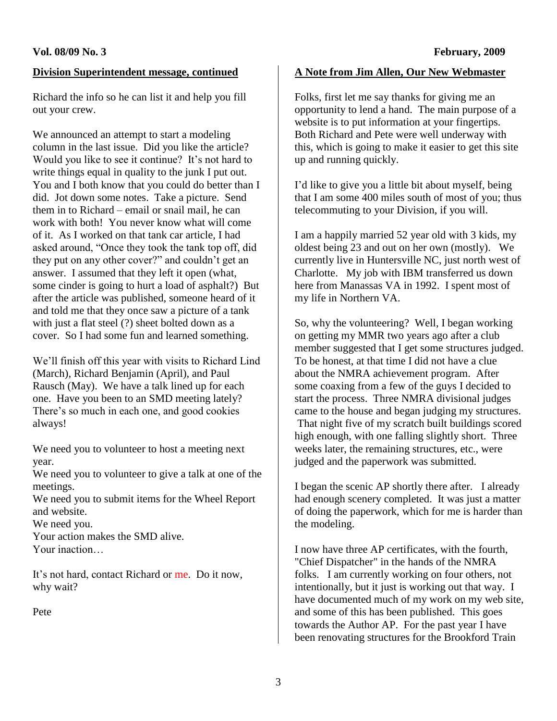### **Division Superintendent message, continued**

Richard the info so he can list it and help you fill out your crew.

We announced an attempt to start a modeling column in the last issue. Did you like the article? Would you like to see it continue? It's not hard to write things equal in quality to the junk I put out. You and I both know that you could do better than I did. Jot down some notes. Take a picture. Send them in to Richard – email or snail mail, he can work with both! You never know what will come of it. As I worked on that tank car article, I had asked around, "Once they took the tank top off, did they put on any other cover?" and couldn't get an answer. I assumed that they left it open (what, some cinder is going to hurt a load of asphalt?) But after the article was published, someone heard of it and told me that they once saw a picture of a tank with just a flat steel (?) sheet bolted down as a cover. So I had some fun and learned something.

We'll finish off this year with visits to Richard Lind (March), Richard Benjamin (April), and Paul Rausch (May). We have a talk lined up for each one. Have you been to an SMD meeting lately? There's so much in each one, and good cookies always!

We need you to volunteer to host a meeting next year.

We need you to volunteer to give a talk at one of the meetings.

We need you to submit items for the Wheel Report and website.

We need you.

Your action makes the SMD alive. Your inaction…

It's not hard, contact Richard or me. Do it now, why wait?

Pete

### **A Note from Jim Allen, Our New Webmaster**

Folks, first let me say thanks for giving me an opportunity to lend a hand. The main purpose of a website is to put information at your fingertips. Both Richard and Pete were well underway with this, which is going to make it easier to get this site up and running quickly.

I'd like to give you a little bit about myself, being that I am some 400 miles south of most of you; thus telecommuting to your Division, if you will.

I am a happily married 52 year old with 3 kids, my oldest being 23 and out on her own (mostly). We currently live in Huntersville NC, just north west of Charlotte. My job with IBM transferred us down here from Manassas VA in 1992. I spent most of my life in Northern VA.

So, why the volunteering? Well, I began working on getting my MMR two years ago after a club member suggested that I get some structures judged. To be honest, at that time I did not have a clue about the NMRA achievement program. After some coaxing from a few of the guys I decided to start the process. Three NMRA divisional judges came to the house and began judging my structures. That night five of my scratch built buildings scored high enough, with one falling slightly short. Three weeks later, the remaining structures, etc., were judged and the paperwork was submitted.

I began the scenic AP shortly there after. I already had enough scenery completed. It was just a matter of doing the paperwork, which for me is harder than the modeling.

I now have three AP certificates, with the fourth, "Chief Dispatcher" in the hands of the NMRA folks. I am currently working on four others, not intentionally, but it just is working out that way. I have documented much of my work on my web site, and some of this has been published. This goes towards the Author AP. For the past year I have been renovating structures for the Brookford Train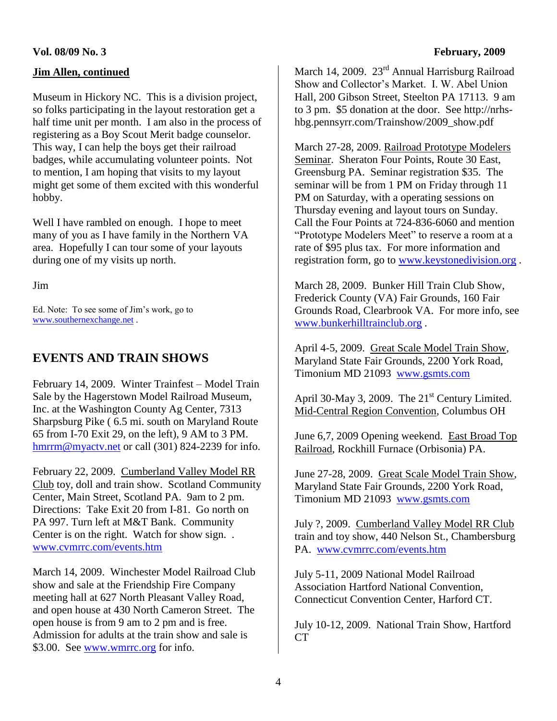### **Jim Allen, continued**

Museum in Hickory NC. This is a division project, so folks participating in the layout restoration get a half time unit per month. I am also in the process of registering as a Boy Scout Merit badge counselor. This way, I can help the boys get their railroad badges, while accumulating volunteer points. Not to mention, I am hoping that visits to my layout might get some of them excited with this wonderful hobby.

Well I have rambled on enough. I hope to meet many of you as I have family in the Northern VA area. Hopefully I can tour some of your layouts during one of my visits up north.

Jim

Ed. Note: To see some of Jim's work, go to [www.southernexchange.net](http://www.southernexchange.net/) .

### **EVENTS AND TRAIN SHOWS**

February 14, 2009. Winter Trainfest – Model Train Sale by the Hagerstown Model Railroad Museum, Inc. at the Washington County Ag Center, 7313 Sharpsburg Pike ( 6.5 mi. south on Maryland Route 65 from I-70 Exit 29, on the left), 9 AM to 3 PM. [hmrrm@myactv.net](mailto:hmrrm@myactv.net) or call (301) 824-2239 for info.

February 22, 2009. Cumberland Valley Model RR Club toy, doll and train show. Scotland Community Center, Main Street, Scotland PA. 9am to 2 pm. Directions: Take Exit 20 from I-81. Go north on PA 997. Turn left at M&T Bank. Community Center is on the right. Watch for show sign. . [www.cvmrrc.com/events.htm](http://www.cvmrrc.com/events.htm)

March 14, 2009. Winchester Model Railroad Club show and sale at the Friendship Fire Company meeting hall at 627 North Pleasant Valley Road, and open house at 430 North Cameron Street. The open house is from 9 am to 2 pm and is free. Admission for adults at the train show and sale is \$3.00. See [www.wmrrc.org](http://www.wmrrc.org/) for info.

March 14, 2009. 23<sup>rd</sup> Annual Harrisburg Railroad Show and Collector's Market. I. W. Abel Union Hall, 200 Gibson Street, Steelton PA 17113. 9 am to 3 pm. \$5 donation at the door. See http://nrhshbg.pennsyrr.com/Trainshow/2009\_show.pdf

March 27-28, 2009. Railroad Prototype Modelers Seminar. Sheraton Four Points, Route 30 East, Greensburg PA. Seminar registration \$35. The seminar will be from 1 PM on Friday through 11 PM on Saturday, with a operating sessions on Thursday evening and layout tours on Sunday. Call the Four Points at 724-836-6060 and mention "Prototype Modelers Meet" to reserve a room at a rate of \$95 plus tax. For more information and registration form, go to [www.keystonedivision.org](http://www.keystonedivision.org/) .

March 28, 2009. Bunker Hill Train Club Show, Frederick County (VA) Fair Grounds, 160 Fair Grounds Road, Clearbrook VA. For more info, see [www.bunkerhilltrainclub.org](http://www.bunkerhilltrainclub.org/) .

April 4-5, 2009. Great Scale Model Train Show, Maryland State Fair Grounds, 2200 York Road, Timonium MD 21093 [www.gsmts.com](http://www.gsmts.com/)

April 30-May 3, 2009. The  $21<sup>st</sup>$  Century Limited. Mid-Central Region Convention, Columbus OH

June 6,7, 2009 Opening weekend. East Broad Top Railroad, Rockhill Furnace (Orbisonia) PA.

June 27-28, 2009. Great Scale Model Train Show, Maryland State Fair Grounds, 2200 York Road, Timonium MD 21093 [www.gsmts.com](http://www.gsmts.com/)

July ?, 2009. Cumberland Valley Model RR Club train and toy show, 440 Nelson St., Chambersburg PA. [www.cvmrrc.com/events.htm](http://www.cvmrrc.com/events.htm)

July 5-11, 2009 National Model Railroad Association Hartford National Convention, Connecticut Convention Center, Harford CT.

July 10-12, 2009. National Train Show, Hartford CT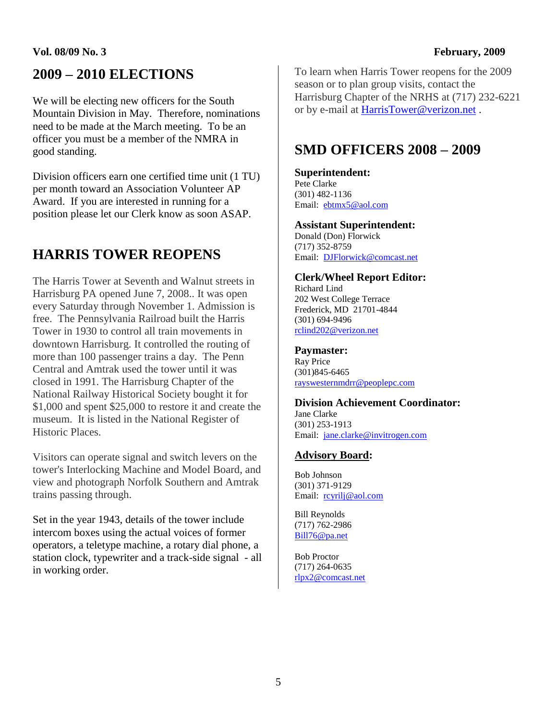### **Vol. 08/09 No. 3 February, 2009**

# **2009 – 2010 ELECTIONS**

We will be electing new officers for the South Mountain Division in May. Therefore, nominations need to be made at the March meeting. To be an officer you must be a member of the NMRA in good standing.

Division officers earn one certified time unit (1 TU) per month toward an Association Volunteer AP Award. If you are interested in running for a position please let our Clerk know as soon ASAP.

# **HARRIS TOWER REOPENS**

The Harris Tower at Seventh and Walnut streets in Harrisburg PA opened June 7, 2008.. It was open every Saturday through November 1. Admission is free. The Pennsylvania Railroad built the Harris Tower in 1930 to control all train movements in downtown Harrisburg. It controlled the routing of more than 100 passenger trains a day. The Penn Central and Amtrak used the tower until it was closed in 1991. The Harrisburg Chapter of the National Railway Historical Society bought it for \$1,000 and spent \$25,000 to restore it and create the museum. It is listed in the National Register of Historic Places.

Visitors can operate signal and switch levers on the tower's Interlocking Machine and Model Board, and view and photograph Norfolk Southern and Amtrak trains passing through.

Set in the year 1943, details of the tower include intercom boxes using the actual voices of former operators, a teletype machine, a rotary dial phone, a station clock, typewriter and a track-side signal - all in working order.

To learn when Harris Tower reopens for the 2009 season or to plan group visits, contact the Harrisburg Chapter of the NRHS at (717) 232-6221 or by e-mail at [HarrisTower@verizon.net](mailto:HarrisTower@verizon.net) .

# **SMD OFFICERS 2008 – 2009**

#### **Superintendent:**

Pete Clarke (301) 482-1136 Email: [ebtmx5@aol.com](mailto:ebtmx5@aol.com)

**Assistant Superintendent:** Donald (Don) Florwick (717) 352-8759 Email: [DJFlorwick@comcast.net](mailto:DJFlorwick@comcast.net)

#### **Clerk/Wheel Report Editor:**

Richard Lind 202 West College Terrace Frederick, MD 21701-4844 (301) 694-9496 [rclind202@verizon.net](mailto:rclind202@verizon.net)

### **Paymaster:**

Ray Price (301)845-6465 [rayswesternmdrr@peoplepc.com](mailto:rayswesternmdrr@peoplepc.com)

#### **Division Achievement Coordinator:** Jane Clarke

(301) 253-1913 Email: [jane.clarke@invitrogen.com](mailto:jane.clarke@invitrogen.com)

### **Advisory Board:**

Bob Johnson (301) 371-9129 Email: [rcyrilj@aol.com](mailto:rcyrilj@aol.com)

Bill Reynolds (717) 762-2986 [Bill76@pa.net](mailto:Bill76@pa.net)

Bob Proctor (717) 264-0635 [rlpx2@comcast.net](mailto:rlpx2@comcast.net)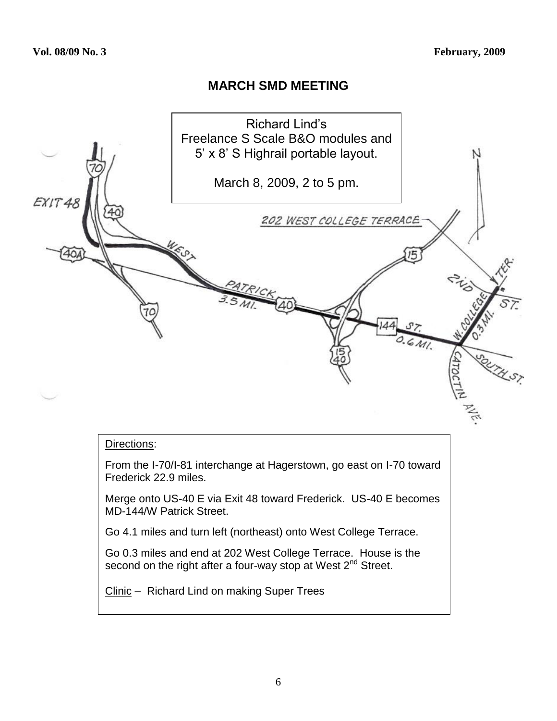## **MARCH SMD MEETING**



#### Directions:

From the I-70/I-81 interchange at Hagerstown, go east on I-70 toward Frederick 22.9 miles.

Merge onto US-40 E via Exit 48 toward Frederick. US-40 E becomes MD-144/W Patrick Street.

Go 4.1 miles and turn left (northeast) onto West College Terrace.

Go 0.3 miles and end at 202 West College Terrace. House is the second on the right after a four-way stop at West  $2^{nd}$  Street.

Clinic – Richard Lind on making Super Trees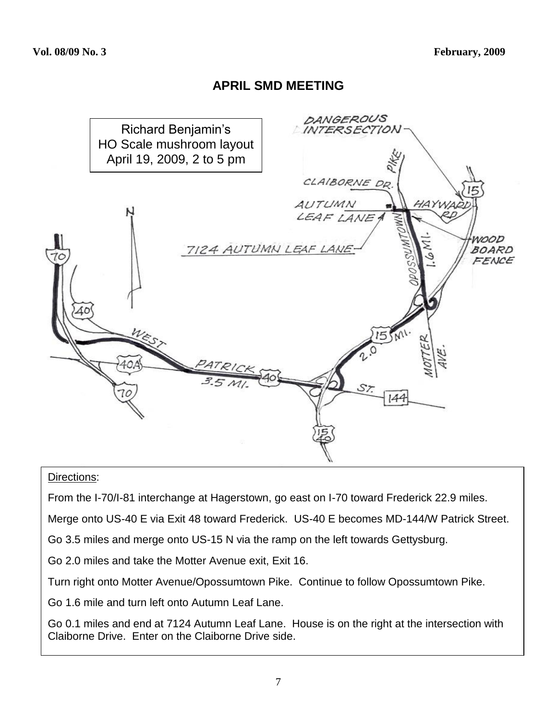### **APRIL SMD MEETING**



### Directions:

From the I-70/I-81 interchange at Hagerstown, go east on I-70 toward Frederick 22.9 miles.

Merge onto US-40 E via Exit 48 toward Frederick. US-40 E becomes MD-144/W Patrick Street.

Go 3.5 miles and merge onto US-15 N via the ramp on the left towards Gettysburg.

Go 2.0 miles and take the Motter Avenue exit, Exit 16.

Turn right onto Motter Avenue/Opossumtown Pike. Continue to follow Opossumtown Pike.

Go 1.6 mile and turn left onto Autumn Leaf Lane.

Go 0.1 miles and end at 7124 Autumn Leaf Lane. House is on the right at the intersection with Claiborne Drive. Enter on the Claiborne Drive side.